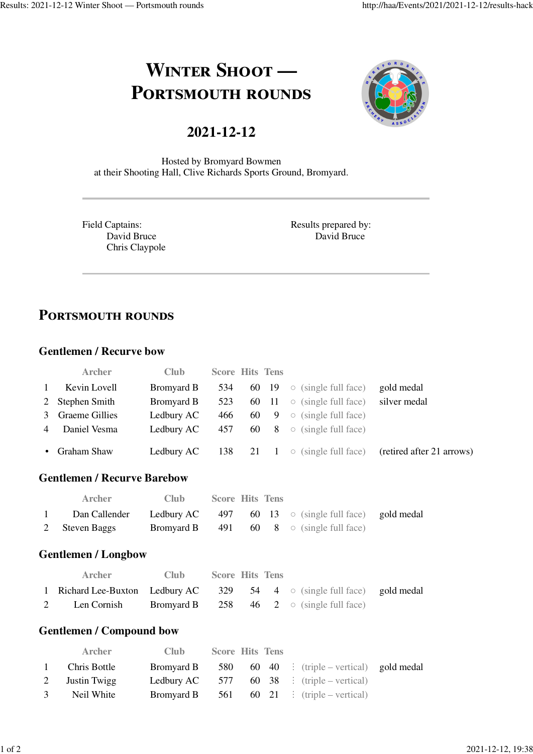# **WINTER SHOOT** --**PORTSMOUTH ROUNDS**

# **2021-12-12**



Hosted by Bromyard Bowmen at their Shooting Hall, Clive Richards Sports Ground, Bromyard.

Field Captains: David Bruce Chris Claypole Results prepared by: David Bruce

# **PORTSMOUTH ROUNDS**

### **Gentlemen / Recurve bow**

|              | <b>Archer</b>    | Club.      | <b>Score Hits Tens</b> |  |                                                       |                                                                                 |
|--------------|------------------|------------|------------------------|--|-------------------------------------------------------|---------------------------------------------------------------------------------|
| $\mathbf{1}$ | Kevin Lovell     | Bromyard B |                        |  | 534 60 19 $\circ$ (single full face)                  | gold medal                                                                      |
|              | 2 Stephen Smith  | Bromyard B |                        |  | 523 60 11 $\circ$ (single full face)                  | silver medal                                                                    |
|              | 3 Graeme Gillies | Ledbury AC |                        |  | 466 60 9 $\circ$ (single full face)                   |                                                                                 |
|              | 4 Daniel Vesma   |            |                        |  | <b>Ledbury AC</b> 457 60 8 $\circ$ (single full face) |                                                                                 |
|              | • Graham Shaw    |            |                        |  |                                                       | <b>Ledbury AC</b> 138 21 1 $\circ$ (single full face) (retired after 21 arrows) |

#### **Gentlemen / Recurve Barebow**

|              | Archer         | Club – | <b>Score Hits Tens</b> |  |                                                                   |  |
|--------------|----------------|--------|------------------------|--|-------------------------------------------------------------------|--|
| $\mathbf{1}$ | Dan Callender  |        |                        |  | <b>Ledbury AC</b> 497 60 13 $\circ$ (single full face) gold medal |  |
|              | 2 Steven Baggs |        |                        |  | <b>Bromyard B</b> 491 60 8 $\circ$ (single full face)             |  |

#### **Gentlemen / Longbow**

|   | Archer                                                                         | Club – | <b>Score Hits Tens</b> |  |                                                       |  |
|---|--------------------------------------------------------------------------------|--------|------------------------|--|-------------------------------------------------------|--|
|   | 1 Richard Lee-Buxton Ledbury AC 329 54 4 $\circ$ (single full face) gold medal |        |                        |  |                                                       |  |
| 2 | Len Cornish                                                                    |        |                        |  | <b>Bromyard B</b> 258 46 2 $\circ$ (single full face) |  |

#### **Gentlemen / Compound bow**

|              | <b>Archer</b>  | Club. | <b>Score Hits Tens</b> |  |                                                              |  |
|--------------|----------------|-------|------------------------|--|--------------------------------------------------------------|--|
| $\mathbf{1}$ | Chris Bottle   |       |                        |  | <b>Bromyard B</b> 580 60 40 : (triple – vertical) gold medal |  |
|              | 2 Justin Twigg |       |                        |  | <b>Ledbury AC</b> 577 60 38 : (triple – vertical)            |  |
| 3            | Neil White     |       |                        |  | <b>Bromyard B</b> 561 60 21 : (triple – vertical)            |  |